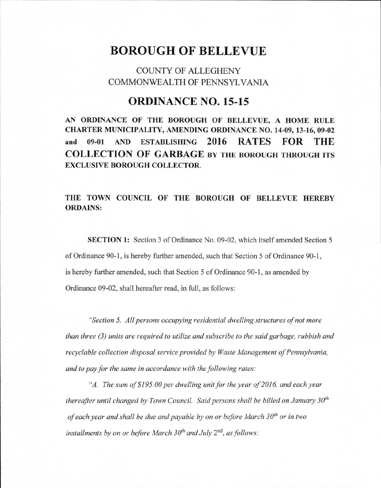## **BOROUGH OF BELLEVUE**

## COUNTY OF ALLEGHENY COMMONWEALTH OF PENNSYLVANIA

## **ORDINANCE NO. 15-15**

**AN ORDINANCE OF THE BOROUGH OF BELLEVUE, A HOME RULE CHARTER MUNICIPALITY, AMENDING ORDINANCE NO. 14-09, 13-16, 09-02 and 09-01 AND ESTABLISHING 2016 RATES FOR THE COLLECTION OF GARBAGE BY THE** BOROUGH THROUGH ITS **EXCLUSIVE BOROUGH COLLECTOR.** 

## THE TOWN **COUNCIL OF THE BOROUGH OF BELLEVUE HEREBY**  ORDAINS:

SECTION 1: Section 3 of Ordinance No. 09-02, which itself amended Section 5 of Ordinance 90-1, is hereby further amended, such that Section 5 of Ordinance 90-1, is hereby further amended, such that Section 5 of Ordinance 90-1, as amended by Ordinance 09-02, shall hereafter read, in full, as follows:

*"Section 5. All persons occupying residential dwelling structures of not more than three (3) units are required to utilize and subscribe to the said garbage, rubbish and recyclable collection disposal service provided by Waste Management of Pennsylvania, and to pay for the same in accordance with the following rates:* 

*"A. The sum of \$195.00 per dwelling unit for the year of 2016, and each year thereafter until changed by Town Council. Said persons shall be billed on January 30th*  of each year and shall be due and payable by on or before March 30<sup>th</sup> or in two installments by on or before March 30<sup>th</sup> and July 2<sup>nd</sup>, as follows: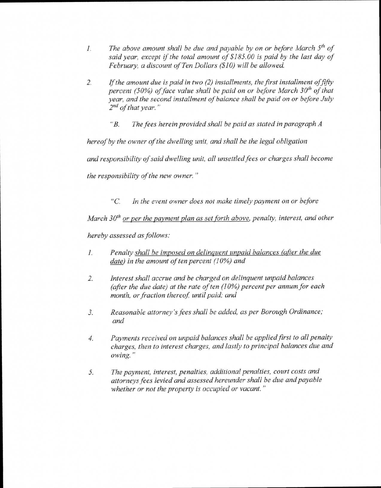- *1. The above amount shall be due and payable by on or before March 5th of said year, except if the total amount of \$185.00 is paid by the last day of February, a discount of Ten Dollars (\$10) will be allowed.*
- *2. If the amount due is paid in two (2) installments, the first installment offifty percent (50%) of face value shall be paid on or before March 30<sup>th</sup> of that year, and the second installment of balance shall be paid on or before July 2nd of that year."* 
	- *"B. The fees herein provided shall be paid as stated in paragraph A*

*hereof by the owner of the dwelling unit, and shall be the legal obligation* 

*and responsibility of said dwelling unit, all unsettled fees or charges shall become* 

*the responsibility of the new owner."* 

*"C. In the event owner does not make timely payment on or before* 

*March 30<sup>th</sup> or per the payment plan as set forth above, penalty, interest, and other* 

*hereby assessed as follows:* 

- *1. Penalty shall be imposed on delinquent unpaid balances (after the due date) in the amount of ten percent (10%) and*
- *2. Interest shall accrue and be charged on delinquent unpaid balances (after the due date) at the rate of ten (10%) percent per annum for each month, or fraction thereof, until paid; and*
- *3. Reasonable attorney's fees shall be added, as per Borough Ordinance; and*
- *4. Payments received on unpaid balances shall be applied first to all penalty charges, then to interest charges, and lastly to principal balances due and owing."*
- *5. The payment, interest, penalties, additional penalties, court costs and attorneys fees levied and assessed hereunder shall be due and payable whether or not the property is occupied or vacant."*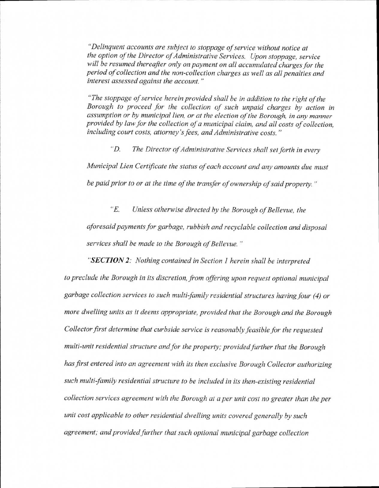*"Delinquent accounts are subject to stoppage of service without notice at the option of the Director of Administrative Services. Upon stoppage, service will be resumed thereafter only on payment on all accumulated charges for the period of collection and the non-collection charges as well as all penalties and interest assessed against the account."* 

*"The stoppage of service herein provided shall be in addition to the right of the Borough to proceed for the collection of such unpaid charges by action in assumption or by municipal lien, or at the election of the Borough, in any manner provided by law for the collection of a municipal claim, and all costs of collection, including court costs, attorney's fees, and Administrative costs."* 

*"D. The Director of Administrative Services shall set forth in every Municipal Lien Certificate the status of each account and any amounts due must be paid prior to or at the time of the transfer of ownership of said property."* 

*"E. Unless otherwise directed by the Borough of Bellevue, the aforesaid payments for garbage, rubbish and recyclable collection and disposal services shall be made to the Borough of Bellevue."* 

*"SECTION 2: Nothing contained in Section 1 herein shall be interpreted to preclude the Borough in its discretion, from offering upon request optional municipal garbage collection services to such multi family residential structures having four (4) or more dwelling units as it deems appropriate, provided that the Borough and the Borough Collector first determine that curbside service is reasonably feasible for the requested multi-unit residential structure and for the property; provided further that the Borough has first entered into an agreement with its then exclusive Borough Collector authorizing such multi family residential structure to be included in its then-existing residential collection services agreement with the Borough at a per unit cost no greater than the per unit cost applicable to other residential dwelling units covered generally by such agreement; and provided further that such optional municipal garbage collection*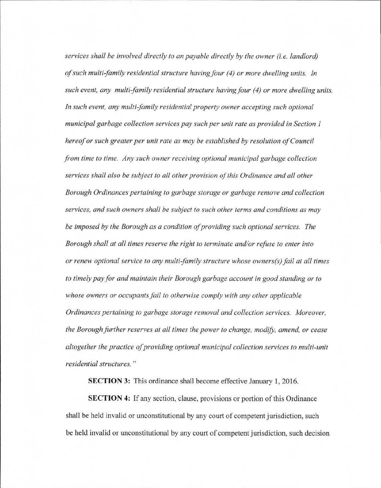*services shall be involved directly to an payable directly by the owner (i.e. landlord) of such multi-family residential structure having four (4) or more dwelling units. In such event, any multi family residential structure having four (4) or more dwelling units. In such event, any multi family residential property owner accepting such optional municipal garbage collection services pay such per unit rate as provided in Section 1 hereof or such greater per unit rate as may be established by resolution of Council from time to time. Any such owner receiving optional municipal garbage collection services shall also be subject to all other provision of this Ordinance and all other Borough Ordinances pertaining to garbage storage or garbage remove and collection services, and such owners shall be subject to such other terms and conditions as may be imposed by the Borough as a condition of providing such optional services. The Borough shall at all times reserve the right to terminate and/or refuse to enter into or renew optional service to any multi family structure whose owners(s) fail at all times to timely pay for and maintain their Borough garbage account in good standing or to whose owners or occupants fail to otherwise comply with any other applicable Ordinances pertaining to garbage storage removal and collection services. Moreover, the Borough further reserves at all times the power to change, modify, amend, or cease altogether the practice of providing optional municipal collection services to multi-unit residential structures."* 

SECTION 3: This ordinance shall become effective January 1, 2016.

SECTION 4: If any section, clause, provisions or portion of this Ordinance shall be held invalid or unconstitutional by any court of competent jurisdiction, such be held invalid or unconstitutional by any court of competent jurisdiction, such decision